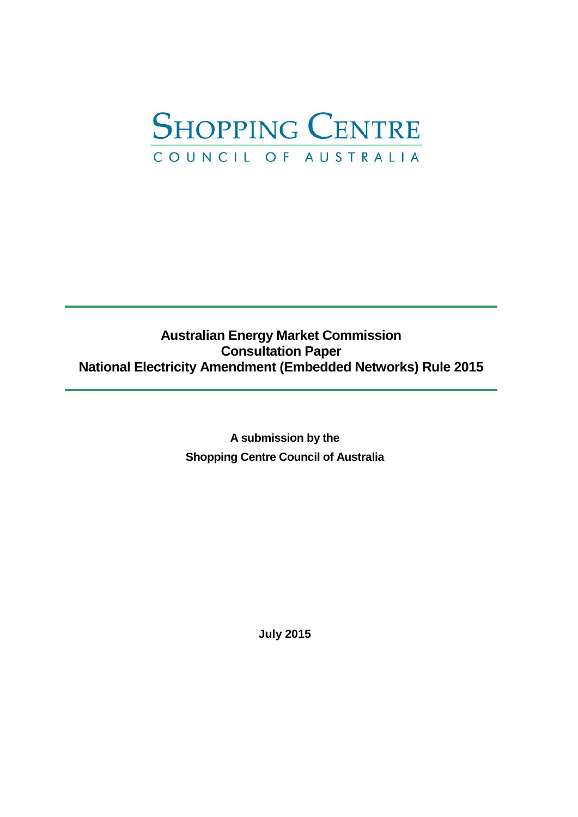

# **Australian Energy Market Commission Consultation Paper National Electricity Amendment (Embedded Networks) Rule 2015**

**A submission by the Shopping Centre Council of Australia** 

**July 2015**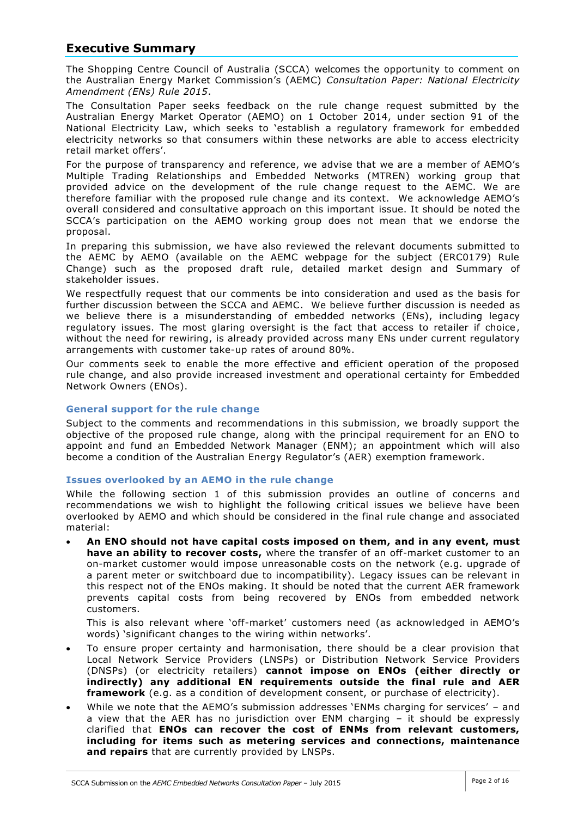## **Executive Summary**

The Shopping Centre Council of Australia (SCCA) welcomes the opportunity to comment on the Australian Energy Market Commission's (AEMC) *Consultation Paper: National Electricity Amendment (ENs) Rule 2015*.

The Consultation Paper seeks feedback on the rule change request submitted by the Australian Energy Market Operator (AEMO) on 1 October 2014, under section 91 of the National Electricity Law, which seeks to 'establish a regulatory framework for embedded electricity networks so that consumers within these networks are able to access electricity retail market offers'.

For the purpose of transparency and reference, we advise that we are a member of AEMO's Multiple Trading Relationships and Embedded Networks (MTREN) working group that provided advice on the development of the rule change request to the AEMC. We are therefore familiar with the proposed rule change and its context. We acknowledge AEMO's overall considered and consultative approach on this important issue. It should be noted the SCCA's participation on the AEMO working group does not mean that we endorse the proposal.

In preparing this submission, we have also reviewed the relevant documents submitted to the AEMC by AEMO (available on the AEMC webpage for the subject (ERC0179) Rule Change) such as the proposed draft rule, detailed market design and Summary of stakeholder issues.

We respectfully request that our comments be into consideration and used as the basis for further discussion between the SCCA and AEMC. We believe further discussion is needed as we believe there is a misunderstanding of embedded networks (ENs), including legacy regulatory issues. The most glaring oversight is the fact that access to retailer if choice, without the need for rewiring, is already provided across many ENs under current regulatory arrangements with customer take-up rates of around 80%.

Our comments seek to enable the more effective and efficient operation of the proposed rule change, and also provide increased investment and operational certainty for Embedded Network Owners (ENOs).

## **General support for the rule change**

Subject to the comments and recommendations in this submission, we broadly support the objective of the proposed rule change, along with the principal requirement for an ENO to appoint and fund an Embedded Network Manager (ENM); an appointment which will also become a condition of the Australian Energy Regulator's (AER) exemption framework.

#### **Issues overlooked by an AEMO in the rule change**

While the following section 1 of this submission provides an outline of concerns and recommendations we wish to highlight the following critical issues we believe have been overlooked by AEMO and which should be considered in the final rule change and associated material:

 **An ENO should not have capital costs imposed on them, and in any event, must have an ability to recover costs,** where the transfer of an off-market customer to an on-market customer would impose unreasonable costs on the network (e.g. upgrade of a parent meter or switchboard due to incompatibility). Legacy issues can be relevant in this respect not of the ENOs making. It should be noted that the current AER framework prevents capital costs from being recovered by ENOs from embedded network customers.

This is also relevant where 'off-market' customers need (as acknowledged in AEMO's words) 'significant changes to the wiring within networks'.

- To ensure proper certainty and harmonisation, there should be a clear provision that Local Network Service Providers (LNSPs) or Distribution Network Service Providers (DNSPs) (or electricity retailers) **cannot impose on ENOs (either directly or indirectly) any additional EN requirements outside the final rule and AER framework** (e.g. as a condition of development consent, or purchase of electricity).
- While we note that the AEMO's submission addresses 'ENMs charging for services' and a view that the AER has no jurisdiction over ENM charging – it should be expressly clarified that **ENOs can recover the cost of ENMs from relevant customers, including for items such as metering services and connections, maintenance and repairs** that are currently provided by LNSPs.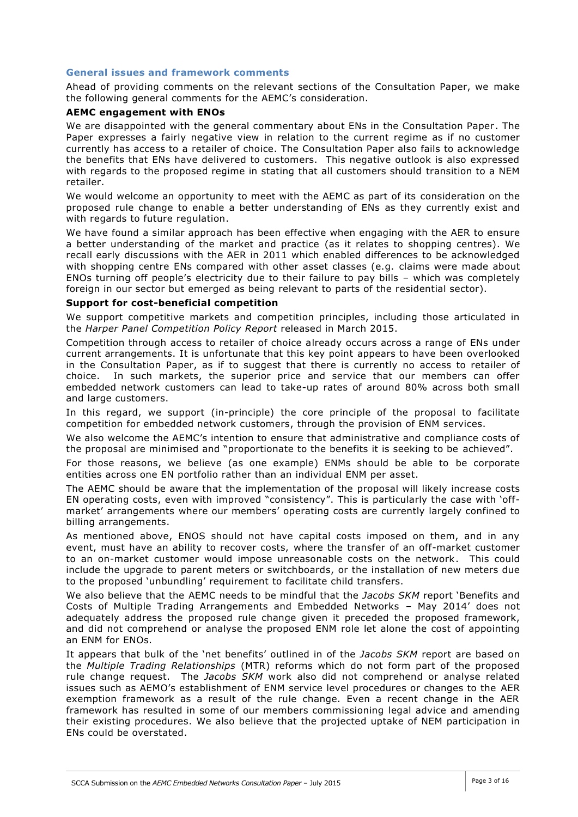### **General issues and framework comments**

Ahead of providing comments on the relevant sections of the Consultation Paper, we make the following general comments for the AEMC's consideration.

### **AEMC engagement with ENOs**

We are disappointed with the general commentary about ENs in the Consultation Paper. The Paper expresses a fairly negative view in relation to the current regime as if no customer currently has access to a retailer of choice. The Consultation Paper also fails to acknowledge the benefits that ENs have delivered to customers. This negative outlook is also expressed with regards to the proposed regime in stating that all customers should transition to a NEM retailer.

We would welcome an opportunity to meet with the AEMC as part of its consideration on the proposed rule change to enable a better understanding of ENs as they currently exist and with regards to future regulation.

We have found a similar approach has been effective when engaging with the AER to ensure a better understanding of the market and practice (as it relates to shopping centres). We recall early discussions with the AER in 2011 which enabled differences to be acknowledged with shopping centre ENs compared with other asset classes (e.g. claims were made about ENOs turning off people's electricity due to their failure to pay bills – which was completely foreign in our sector but emerged as being relevant to parts of the residential sector).

#### **Support for cost-beneficial competition**

We support competitive markets and competition principles, including those articulated in the *Harper Panel Competition Policy Report* released in March 2015.

Competition through access to retailer of choice already occurs across a range of ENs under current arrangements. It is unfortunate that this key point appears to have been overlooked in the Consultation Paper, as if to suggest that there is currently no access to retailer of choice. In such markets, the superior price and service that our members can offer embedded network customers can lead to take-up rates of around 80% across both small and large customers.

In this regard, we support (in-principle) the core principle of the proposal to facilitate competition for embedded network customers, through the provision of ENM services.

We also welcome the AEMC's intention to ensure that administrative and compliance costs of the proposal are minimised and "proportionate to the benefits it is seeking to be achieved".

For those reasons, we believe (as one example) ENMs should be able to be corporate entities across one EN portfolio rather than an individual ENM per asset.

The AEMC should be aware that the implementation of the proposal will likely increase costs EN operating costs, even with improved "consistency". This is particularly the case with 'offmarket' arrangements where our members' operating costs are currently largely confined to billing arrangements.

As mentioned above, ENOS should not have capital costs imposed on them, and in any event, must have an ability to recover costs, where the transfer of an off-market customer to an on-market customer would impose unreasonable costs on the network. This could include the upgrade to parent meters or switchboards, or the installation of new meters due to the proposed 'unbundling' requirement to facilitate child transfers.

We also believe that the AEMC needs to be mindful that the *Jacobs SKM* report 'Benefits and Costs of Multiple Trading Arrangements and Embedded Networks – May 2014' does not adequately address the proposed rule change given it preceded the proposed framework, and did not comprehend or analyse the proposed ENM role let alone the cost of appointing an ENM for ENOs.

It appears that bulk of the 'net benefits' outlined in of the *Jacobs SKM* report are based on the *Multiple Trading Relationships* (MTR) reforms which do not form part of the proposed rule change request. The *Jacobs SKM* work also did not comprehend or analyse related issues such as AEMO's establishment of ENM service level procedures or changes to the AER exemption framework as a result of the rule change. Even a recent change in the AER framework has resulted in some of our members commissioning legal advice and amending their existing procedures. We also believe that the projected uptake of NEM participation in ENs could be overstated.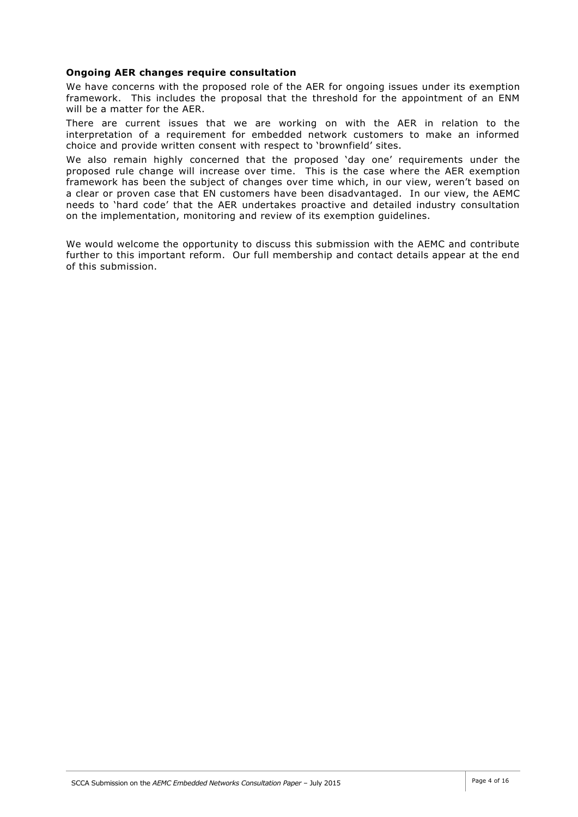### **Ongoing AER changes require consultation**

We have concerns with the proposed role of the AER for ongoing issues under its exemption framework. This includes the proposal that the threshold for the appointment of an ENM will be a matter for the AER.

There are current issues that we are working on with the AER in relation to the interpretation of a requirement for embedded network customers to make an informed choice and provide written consent with respect to 'brownfield' sites.

We also remain highly concerned that the proposed 'day one' requirements under the proposed rule change will increase over time. This is the case where the AER exemption framework has been the subject of changes over time which, in our view, weren't based on a clear or proven case that EN customers have been disadvantaged. In our view, the AEMC needs to 'hard code' that the AER undertakes proactive and detailed industry consultation on the implementation, monitoring and review of its exemption guidelines.

We would welcome the opportunity to discuss this submission with the AEMC and contribute further to this important reform. Our full membership and contact details appear at the end of this submission.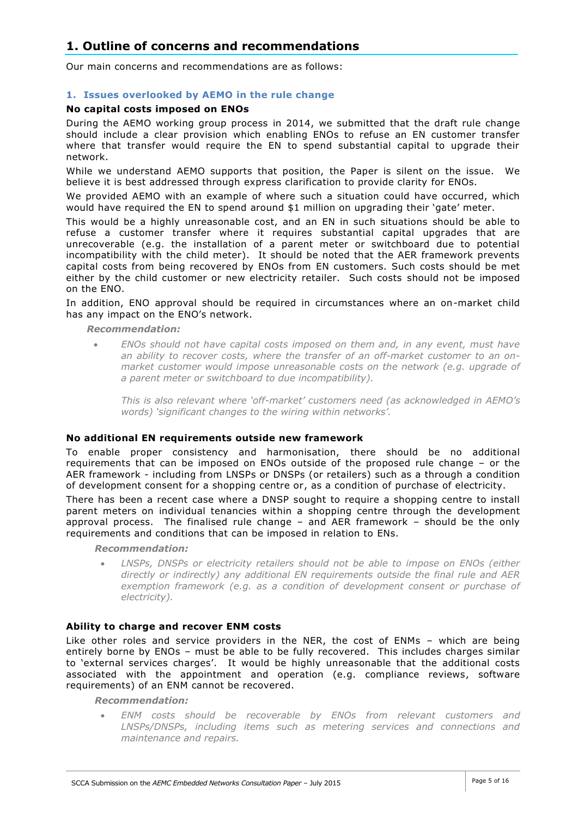## **1. Outline of concerns and recommendations**

Our main concerns and recommendations are as follows:

## **1. Issues overlooked by AEMO in the rule change**

### **No capital costs imposed on ENOs**

During the AEMO working group process in 2014, we submitted that the draft rule change should include a clear provision which enabling ENOs to refuse an EN customer transfer where that transfer would require the EN to spend substantial capital to upgrade their network.

While we understand AEMO supports that position, the Paper is silent on the issue. We believe it is best addressed through express clarification to provide clarity for ENOs.

We provided AEMO with an example of where such a situation could have occurred, which would have required the EN to spend around \$1 million on upgrading their 'gate' meter.

This would be a highly unreasonable cost, and an EN in such situations should be able to refuse a customer transfer where it requires substantial capital upgrades that are unrecoverable (e.g. the installation of a parent meter or switchboard due to potential incompatibility with the child meter). It should be noted that the AER framework prevents capital costs from being recovered by ENOs from EN customers. Such costs should be met either by the child customer or new electricity retailer. Such costs should not be imposed on the ENO.

In addition, ENO approval should be required in circumstances where an on-market child has any impact on the ENO's network.

*Recommendation:*

 *ENOs should not have capital costs imposed on them and, in any event, must have an ability to recover costs, where the transfer of an off-market customer to an onmarket customer would impose unreasonable costs on the network (e.g. upgrade of a parent meter or switchboard to due incompatibility).*

*This is also relevant where 'off-market' customers need (as acknowledged in AEMO's words) 'significant changes to the wiring within networks'.*

#### **No additional EN requirements outside new framework**

To enable proper consistency and harmonisation, there should be no additional requirements that can be imposed on ENOs outside of the proposed rule change – or the AER framework - including from LNSPs or DNSPs (or retailers) such as a through a condition of development consent for a shopping centre or, as a condition of purchase of electricity.

There has been a recent case where a DNSP sought to require a shopping centre to install parent meters on individual tenancies within a shopping centre through the development approval process. The finalised rule change – and AER framework – should be the only requirements and conditions that can be imposed in relation to ENs.

*Recommendation:*

 *LNSPs, DNSPs or electricity retailers should not be able to impose on ENOs (either directly or indirectly) any additional EN requirements outside the final rule and AER exemption framework (e.g. as a condition of development consent or purchase of electricity).*

#### **Ability to charge and recover ENM costs**

Like other roles and service providers in the NER, the cost of ENMs – which are being entirely borne by ENOs – must be able to be fully recovered. This includes charges similar to 'external services charges'. It would be highly unreasonable that the additional costs associated with the appointment and operation (e.g. compliance reviews, software requirements) of an ENM cannot be recovered.

*Recommendation:*

 *ENM costs should be recoverable by ENOs from relevant customers and LNSPs/DNSPs, including items such as metering services and connections and maintenance and repairs.*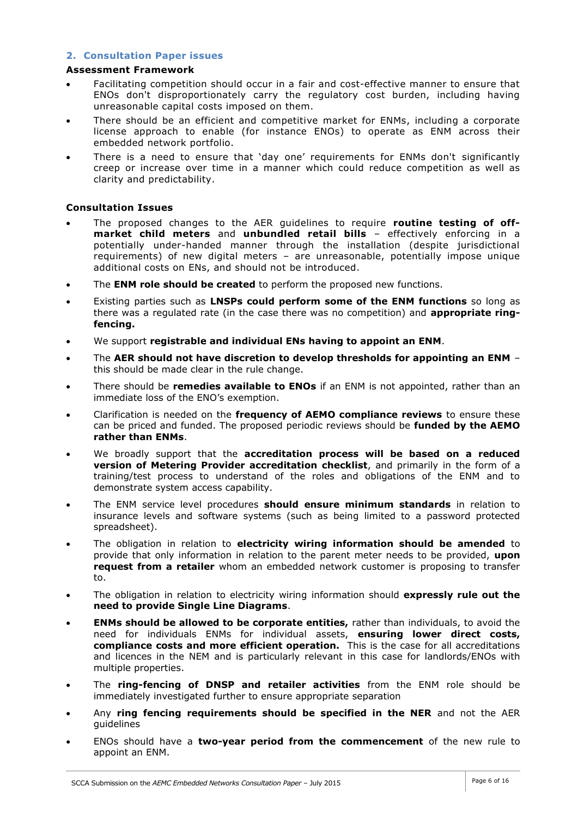## **2. Consultation Paper issues**

### **Assessment Framework**

- Facilitating competition should occur in a fair and cost-effective manner to ensure that ENOs don't disproportionately carry the regulatory cost burden, including having unreasonable capital costs imposed on them.
- There should be an efficient and competitive market for ENMs, including a corporate license approach to enable (for instance ENOs) to operate as ENM across their embedded network portfolio.
- There is a need to ensure that 'day one' requirements for ENMs don't significantly creep or increase over time in a manner which could reduce competition as well as clarity and predictability.

## **Consultation Issues**

- The proposed changes to the AER guidelines to require **routine testing of offmarket child meters** and **unbundled retail bills** – effectively enforcing in a potentially under-handed manner through the installation (despite jurisdictional requirements) of new digital meters – are unreasonable, potentially impose unique additional costs on ENs, and should not be introduced.
- The **ENM role should be created** to perform the proposed new functions.
- Existing parties such as **LNSPs could perform some of the ENM functions** so long as there was a regulated rate (in the case there was no competition) and **appropriate ringfencing.**
- We support **registrable and individual ENs having to appoint an ENM**.
- The **AER should not have discretion to develop thresholds for appointing an ENM** this should be made clear in the rule change.
- There should be **remedies available to ENOs** if an ENM is not appointed, rather than an immediate loss of the ENO's exemption.
- Clarification is needed on the **frequency of AEMO compliance reviews** to ensure these can be priced and funded. The proposed periodic reviews should be **funded by the AEMO rather than ENMs**.
- We broadly support that the **accreditation process will be based on a reduced version of Metering Provider accreditation checklist**, and primarily in the form of a training/test process to understand of the roles and obligations of the ENM and to demonstrate system access capability.
- The ENM service level procedures **should ensure minimum standards** in relation to insurance levels and software systems (such as being limited to a password protected spreadsheet).
- The obligation in relation to **electricity wiring information should be amended** to provide that only information in relation to the parent meter needs to be provided, **upon request from a retailer** whom an embedded network customer is proposing to transfer to.
- The obligation in relation to electricity wiring information should **expressly rule out the need to provide Single Line Diagrams**.
- **ENMs should be allowed to be corporate entities,** rather than individuals, to avoid the need for individuals ENMs for individual assets, **ensuring lower direct costs, compliance costs and more efficient operation.** This is the case for all accreditations and licences in the NEM and is particularly relevant in this case for landlords/ENOs with multiple properties.
- The **ring-fencing of DNSP and retailer activities** from the ENM role should be immediately investigated further to ensure appropriate separation
- Any **ring fencing requirements should be specified in the NER** and not the AER guidelines
- ENOs should have a **two-year period from the commencement** of the new rule to appoint an ENM.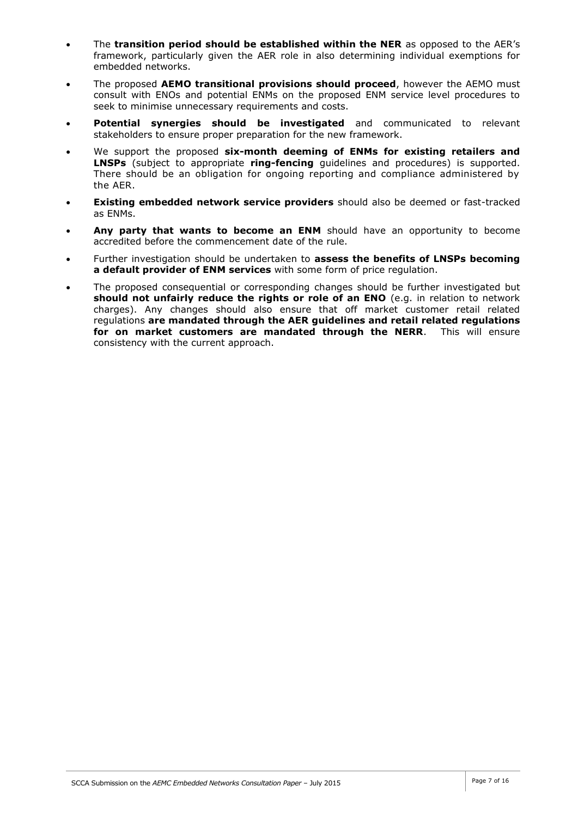- The **transition period should be established within the NER** as opposed to the AER's framework, particularly given the AER role in also determining individual exemptions for embedded networks.
- The proposed **AEMO transitional provisions should proceed**, however the AEMO must consult with ENOs and potential ENMs on the proposed ENM service level procedures to seek to minimise unnecessary requirements and costs.
- **Potential synergies should be investigated** and communicated to relevant stakeholders to ensure proper preparation for the new framework.
- We support the proposed **six-month deeming of ENMs for existing retailers and LNSPs** (subject to appropriate **ring-fencing** guidelines and procedures) is supported. There should be an obligation for ongoing reporting and compliance administered by the AER.
- **Existing embedded network service providers** should also be deemed or fast-tracked as ENMs.
- **Any party that wants to become an ENM** should have an opportunity to become accredited before the commencement date of the rule.
- Further investigation should be undertaken to **assess the benefits of LNSPs becoming a default provider of ENM services** with some form of price regulation.
- The proposed consequential or corresponding changes should be further investigated but **should not unfairly reduce the rights or role of an ENO** (e.g. in relation to network charges). Any changes should also ensure that off market customer retail related regulations **are mandated through the AER guidelines and retail related regulations for on market customers are mandated through the NERR**. This will ensure consistency with the current approach.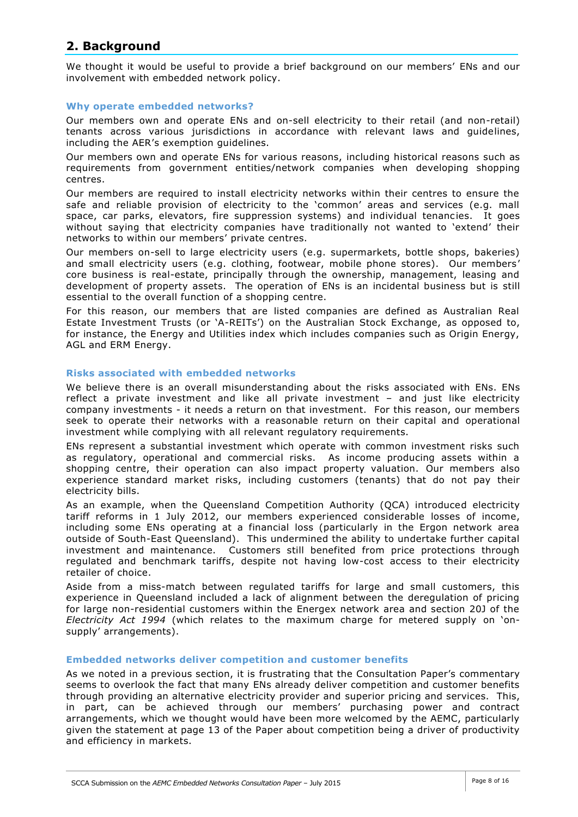## **2. Background**

We thought it would be useful to provide a brief background on our members' ENs and our involvement with embedded network policy.

## **Why operate embedded networks?**

Our members own and operate ENs and on-sell electricity to their retail (and non-retail) tenants across various jurisdictions in accordance with relevant laws and guidelines, including the AER's exemption guidelines.

Our members own and operate ENs for various reasons, including historical reasons such as requirements from government entities/network companies when developing shopping centres.

Our members are required to install electricity networks within their centres to ensure the safe and reliable provision of electricity to the 'common' areas and services (e.g. mall space, car parks, elevators, fire suppression systems) and individual tenancies. It goes without saying that electricity companies have traditionally not wanted to 'extend' their networks to within our members' private centres.

Our members on-sell to large electricity users (e.g. supermarkets, bottle shops, bakeries) and small electricity users (e.g. clothing, footwear, mobile phone stores). Our members' core business is real-estate, principally through the ownership, management, leasing and development of property assets. The operation of ENs is an incidental business but is still essential to the overall function of a shopping centre.

For this reason, our members that are listed companies are defined as Australian Real Estate Investment Trusts (or 'A-REITs') on the Australian Stock Exchange, as opposed to, for instance, the Energy and Utilities index which includes companies such as Origin Energy, AGL and ERM Energy.

### **Risks associated with embedded networks**

We believe there is an overall misunderstanding about the risks associated with ENs. ENs reflect a private investment and like all private investment – and just like electricity company investments - it needs a return on that investment. For this reason, our members seek to operate their networks with a reasonable return on their capital and operational investment while complying with all relevant regulatory requirements.

ENs represent a substantial investment which operate with common investment risks such as regulatory, operational and commercial risks. As income producing assets within a shopping centre, their operation can also impact property valuation. Our members also experience standard market risks, including customers (tenants) that do not pay their electricity bills.

As an example, when the Queensland Competition Authority (QCA) introduced electricity tariff reforms in 1 July 2012, our members experienced considerable losses of income, including some ENs operating at a financial loss (particularly in the Ergon network area outside of South-East Queensland). This undermined the ability to undertake further capital investment and maintenance. Customers still benefited from price protections through regulated and benchmark tariffs, despite not having low-cost access to their electricity retailer of choice.

Aside from a miss-match between regulated tariffs for large and small customers, this experience in Queensland included a lack of alignment between the deregulation of pricing for large non-residential customers within the Energex network area and section 20J of the *Electricity Act 1994* (which relates to the maximum charge for metered supply on 'onsupply' arrangements).

#### **Embedded networks deliver competition and customer benefits**

As we noted in a previous section, it is frustrating that the Consultation Paper's commentary seems to overlook the fact that many ENs already deliver competition and customer benefits through providing an alternative electricity provider and superior pricing and services. This, in part, can be achieved through our members' purchasing power and contract arrangements, which we thought would have been more welcomed by the AEMC, particularly given the statement at page 13 of the Paper about competition being a driver of productivity and efficiency in markets.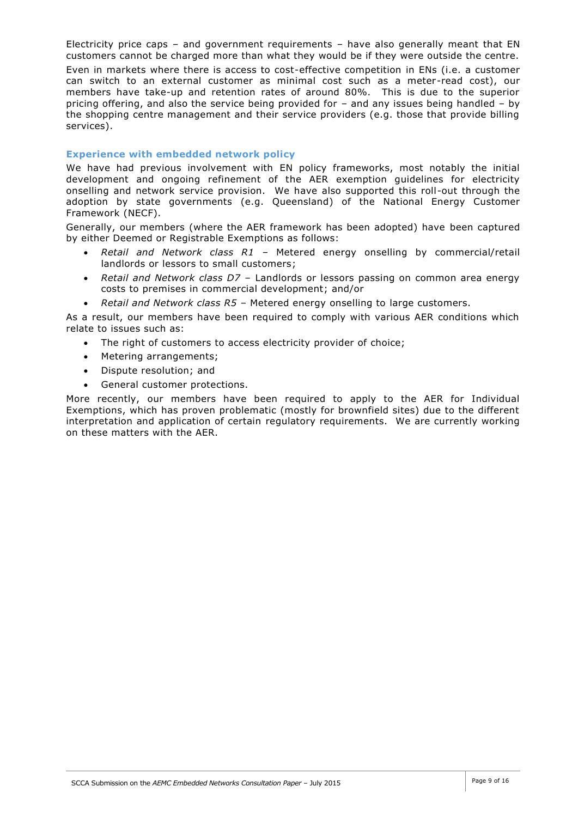Electricity price caps – and government requirements – have also generally meant that EN customers cannot be charged more than what they would be if they were outside the centre.

Even in markets where there is access to cost-effective competition in ENs (i.e. a customer can switch to an external customer as minimal cost such as a meter-read cost), our members have take-up and retention rates of around 80%. This is due to the superior pricing offering, and also the service being provided for – and any issues being handled – by the shopping centre management and their service providers (e.g. those that provide billing services).

## **Experience with embedded network policy**

We have had previous involvement with EN policy frameworks, most notably the initial development and ongoing refinement of the AER exemption guidelines for electricity onselling and network service provision. We have also supported this roll-out through the adoption by state governments (e.g. Queensland) of the National Energy Customer Framework (NECF).

Generally, our members (where the AER framework has been adopted) have been captured by either Deemed or Registrable Exemptions as follows:

- *Retail and Network class R1* Metered energy onselling by commercial/retail landlords or lessors to small customers;
- *Retail and Network class D7* Landlords or lessors passing on common area energy costs to premises in commercial development; and/or
- *Retail and Network class R5*  Metered energy onselling to large customers.

As a result, our members have been required to comply with various AER conditions which relate to issues such as:

- The right of customers to access electricity provider of choice;
- Metering arrangements;
- Dispute resolution; and
- General customer protections.

More recently, our members have been required to apply to the AER for Individual Exemptions, which has proven problematic (mostly for brownfield sites) due to the different interpretation and application of certain regulatory requirements. We are currently working on these matters with the AER.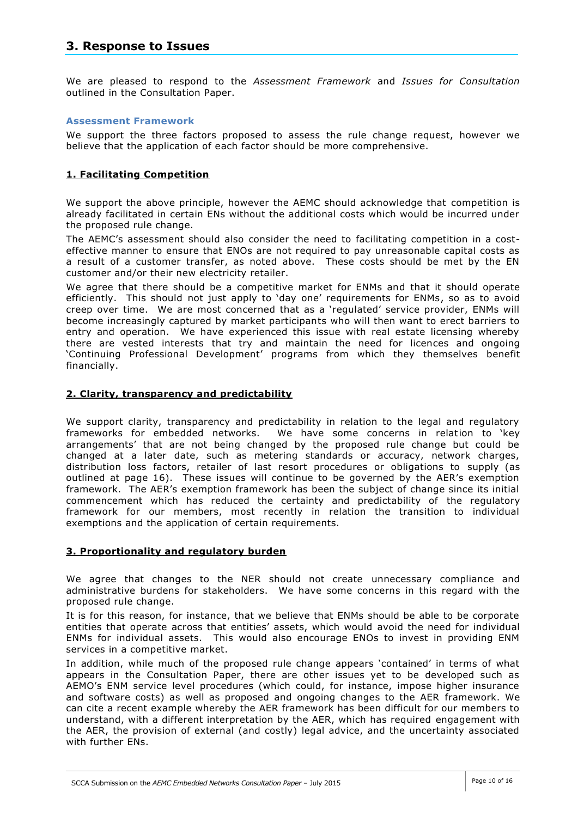## **3. Response to Issues**

We are pleased to respond to the *Assessment Framework* and *Issues for Consultation*  outlined in the Consultation Paper.

#### **Assessment Framework**

We support the three factors proposed to assess the rule change request, however we believe that the application of each factor should be more comprehensive.

## **1. Facilitating Competition**

We support the above principle, however the AEMC should acknowledge that competition is already facilitated in certain ENs without the additional costs which would be incurred under the proposed rule change.

The AEMC's assessment should also consider the need to facilitating competition in a costeffective manner to ensure that ENOs are not required to pay unreasonable capital costs as a result of a customer transfer, as noted above. These costs should be met by the EN customer and/or their new electricity retailer.

We agree that there should be a competitive market for ENMs and that it should operate efficiently. This should not just apply to 'day one' requirements for ENMs, so as to avoid creep over time. We are most concerned that as a 'regulated' service provider, ENMs will become increasingly captured by market participants who will then want to erect barriers to entry and operation. We have experienced this issue with real estate licensing whereby there are vested interests that try and maintain the need for licences and ongoing 'Continuing Professional Development' programs from which they themselves benefit financially.

### **2. Clarity, transparency and predictability**

We support clarity, transparency and predictability in relation to the legal and regulatory frameworks for embedded networks. We have some concerns in relation to 'key arrangements' that are not being changed by the proposed rule change but could be changed at a later date, such as metering standards or accuracy, network charges, distribution loss factors, retailer of last resort procedures or obligations to supply (as outlined at page 16). These issues will continue to be governed by the AER's exemption framework. The AER's exemption framework has been the subject of change since its initial commencement which has reduced the certainty and predictability of the regulatory framework for our members, most recently in relation the transition to individual exemptions and the application of certain requirements.

## **3. Proportionality and regulatory burden**

We agree that changes to the NER should not create unnecessary compliance and administrative burdens for stakeholders. We have some concerns in this regard with the proposed rule change.

It is for this reason, for instance, that we believe that ENMs should be able to be corporate entities that operate across that entities' assets, which would avoid the need for individual ENMs for individual assets. This would also encourage ENOs to invest in providing ENM services in a competitive market.

In addition, while much of the proposed rule change appears 'contained' in terms of what appears in the Consultation Paper, there are other issues yet to be developed such as AEMO's ENM service level procedures (which could, for instance, impose higher insurance and software costs) as well as proposed and ongoing changes to the AER framework. We can cite a recent example whereby the AER framework has been difficult for our members to understand, with a different interpretation by the AER, which has required engagement with the AER, the provision of external (and costly) legal advice, and the uncertainty associated with further ENs.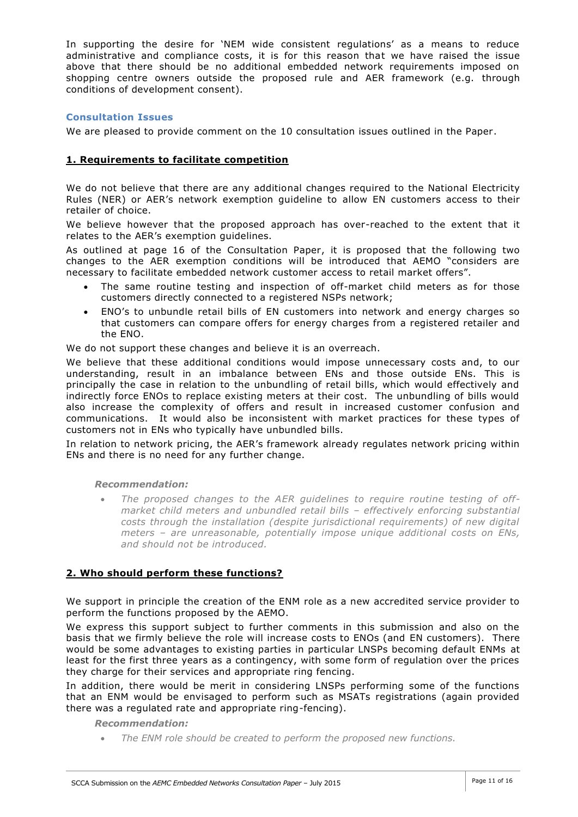In supporting the desire for 'NEM wide consistent regulations' as a means to reduce administrative and compliance costs, it is for this reason that we have raised the issue above that there should be no additional embedded network requirements imposed on shopping centre owners outside the proposed rule and AER framework (e.g. through conditions of development consent).

## **Consultation Issues**

We are pleased to provide comment on the 10 consultation issues outlined in the Paper.

## **1. Requirements to facilitate competition**

We do not believe that there are any additional changes required to the National Electricity Rules (NER) or AER's network exemption guideline to allow EN customers access to their retailer of choice.

We believe however that the proposed approach has over-reached to the extent that it relates to the AER's exemption guidelines.

As outlined at page 16 of the Consultation Paper, it is proposed that the following two changes to the AER exemption conditions will be introduced that AEMO "considers are necessary to facilitate embedded network customer access to retail market offers".

- The same routine testing and inspection of off-market child meters as for those customers directly connected to a registered NSPs network;
- ENO's to unbundle retail bills of EN customers into network and energy charges so that customers can compare offers for energy charges from a registered retailer and the ENO.

We do not support these changes and believe it is an overreach.

We believe that these additional conditions would impose unnecessary costs and, to our understanding, result in an imbalance between ENs and those outside ENs. This is principally the case in relation to the unbundling of retail bills, which would effectively and indirectly force ENOs to replace existing meters at their cost. The unbundling of bills would also increase the complexity of offers and result in increased customer confusion and communications. It would also be inconsistent with market practices for these types of customers not in ENs who typically have unbundled bills.

In relation to network pricing, the AER's framework already regulates network pricing within ENs and there is no need for any further change.

#### *Recommendation:*

 *The proposed changes to the AER guidelines to require routine testing of offmarket child meters and unbundled retail bills – effectively enforcing substantial costs through the installation (despite jurisdictional requirements) of new digital meters – are unreasonable, potentially impose unique additional costs on ENs, and should not be introduced.*

## **2. Who should perform these functions?**

We support in principle the creation of the ENM role as a new accredited service provider to perform the functions proposed by the AEMO.

We express this support subject to further comments in this submission and also on the basis that we firmly believe the role will increase costs to ENOs (and EN customers). There would be some advantages to existing parties in particular LNSPs becoming default ENMs at least for the first three years as a contingency, with some form of regulation over the prices they charge for their services and appropriate ring fencing.

In addition, there would be merit in considering LNSPs performing some of the functions that an ENM would be envisaged to perform such as MSATs registrations (again provided there was a regulated rate and appropriate ring-fencing).

#### *Recommendation:*

*The ENM role should be created to perform the proposed new functions.*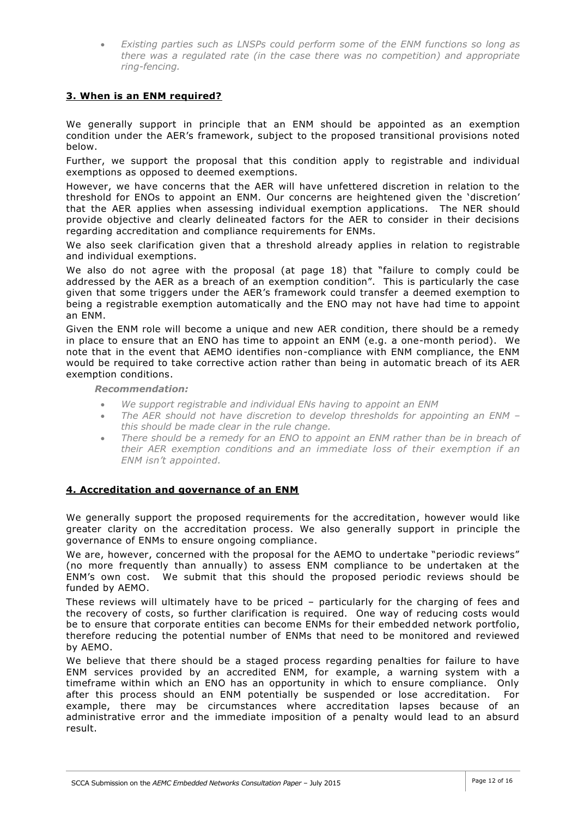*Existing parties such as LNSPs could perform some of the ENM functions so long as there was a regulated rate (in the case there was no competition) and appropriate ring-fencing.*

## **3. When is an ENM required?**

We generally support in principle that an ENM should be appointed as an exemption condition under the AER's framework, subject to the proposed transitional provisions noted below.

Further, we support the proposal that this condition apply to registrable and individual exemptions as opposed to deemed exemptions.

However, we have concerns that the AER will have unfettered discretion in relation to the threshold for ENOs to appoint an ENM. Our concerns are heightened given the 'discretion' that the AER applies when assessing individual exemption applications. The NER should provide objective and clearly delineated factors for the AER to consider in their decisions regarding accreditation and compliance requirements for ENMs.

We also seek clarification given that a threshold already applies in relation to registrable and individual exemptions.

We also do not agree with the proposal (at page 18) that "failure to comply could be addressed by the AER as a breach of an exemption condition". This is particularly the case given that some triggers under the AER's framework could transfer a deemed exemption to being a registrable exemption automatically and the ENO may not have had time to appoint an ENM.

Given the ENM role will become a unique and new AER condition, there should be a remedy in place to ensure that an ENO has time to appoint an ENM (e.g. a one-month period). We note that in the event that AEMO identifies non-compliance with ENM compliance, the ENM would be required to take corrective action rather than being in automatic breach of its AER exemption conditions.

*Recommendation:*

- *We support registrable and individual ENs having to appoint an ENM*
- *The AER should not have discretion to develop thresholds for appointing an ENM – this should be made clear in the rule change.*
- *There should be a remedy for an ENO to appoint an ENM rather than be in breach of their AER exemption conditions and an immediate loss of their exemption if an ENM isn't appointed.*

## **4. Accreditation and governance of an ENM**

We generally support the proposed requirements for the accreditation, however would like greater clarity on the accreditation process. We also generally support in principle the governance of ENMs to ensure ongoing compliance.

We are, however, concerned with the proposal for the AEMO to undertake "periodic reviews" (no more frequently than annually) to assess ENM compliance to be undertaken at the ENM's own cost. We submit that this should the proposed periodic reviews should be funded by AEMO.

These reviews will ultimately have to be priced – particularly for the charging of fees and the recovery of costs, so further clarification is required. One way of reducing costs would be to ensure that corporate entities can become ENMs for their embedded network portfolio, therefore reducing the potential number of ENMs that need to be monitored and reviewed by AEMO.

We believe that there should be a staged process regarding penalties for failure to have ENM services provided by an accredited ENM, for example, a warning system with a timeframe within which an ENO has an opportunity in which to ensure compliance. Only after this process should an ENM potentially be suspended or lose accreditation. For example, there may be circumstances where accreditation lapses because of an administrative error and the immediate imposition of a penalty would lead to an absurd result.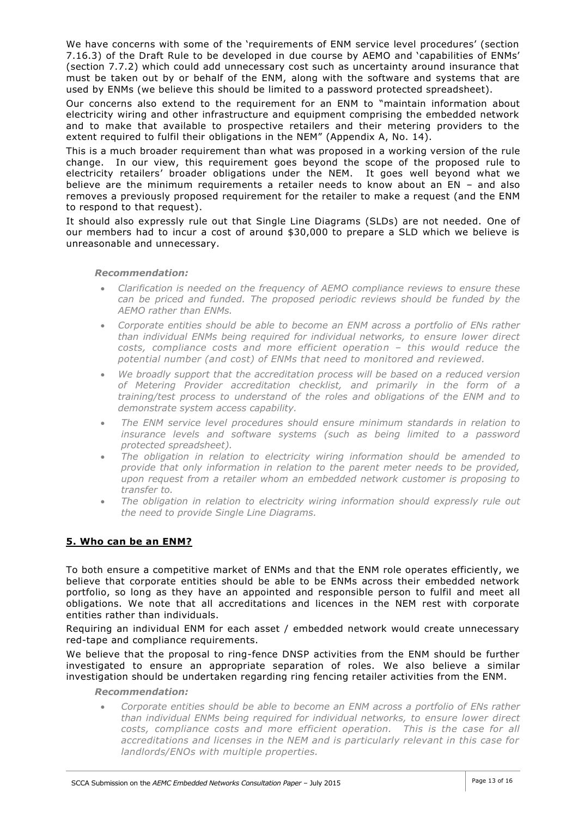We have concerns with some of the 'requirements of ENM service level procedures' (section 7.16.3) of the Draft Rule to be developed in due course by AEMO and 'capabilities of ENMs' (section 7.7.2) which could add unnecessary cost such as uncertainty around insurance that must be taken out by or behalf of the ENM, along with the software and systems that are used by ENMs (we believe this should be limited to a password protected spreadsheet).

Our concerns also extend to the requirement for an ENM to "maintain information about electricity wiring and other infrastructure and equipment comprising the embedded network and to make that available to prospective retailers and their metering providers to the extent required to fulfil their obligations in the NEM" (Appendix A, No. 14).

This is a much broader requirement than what was proposed in a working version of the rule change. In our view, this requirement goes beyond the scope of the proposed rule to electricity retailers' broader obligations under the NEM. It goes well beyond what we believe are the minimum requirements a retailer needs to know about an EN – and also removes a previously proposed requirement for the retailer to make a request (and the ENM to respond to that request).

It should also expressly rule out that Single Line Diagrams (SLDs) are not needed. One of our members had to incur a cost of around \$30,000 to prepare a SLD which we believe is unreasonable and unnecessary.

#### *Recommendation:*

- *Clarification is needed on the frequency of AEMO compliance reviews to ensure these can be priced and funded. The proposed periodic reviews should be funded by the AEMO rather than ENMs.*
- *Corporate entities should be able to become an ENM across a portfolio of ENs rather than individual ENMs being required for individual networks, to ensure lower direct costs, compliance costs and more efficient operation – this would reduce the potential number (and cost) of ENMs that need to monitored and reviewed.*
- *We broadly support that the accreditation process will be based on a reduced version of Metering Provider accreditation checklist, and primarily in the form of a training/test process to understand of the roles and obligations of the ENM and to demonstrate system access capability.*
- *The ENM service level procedures should ensure minimum standards in relation to insurance levels and software systems (such as being limited to a password protected spreadsheet).*
- *The obligation in relation to electricity wiring information should be amended to provide that only information in relation to the parent meter needs to be provided, upon request from a retailer whom an embedded network customer is proposing to transfer to.*
- *The obligation in relation to electricity wiring information should expressly rule out the need to provide Single Line Diagrams.*

## **5. Who can be an ENM?**

To both ensure a competitive market of ENMs and that the ENM role operates efficiently, we believe that corporate entities should be able to be ENMs across their embedded network portfolio, so long as they have an appointed and responsible person to fulfil and meet all obligations. We note that all accreditations and licences in the NEM rest with corporate entities rather than individuals.

Requiring an individual ENM for each asset / embedded network would create unnecessary red-tape and compliance requirements.

We believe that the proposal to ring-fence DNSP activities from the ENM should be further investigated to ensure an appropriate separation of roles. We also believe a similar investigation should be undertaken regarding ring fencing retailer activities from the ENM.

#### *Recommendation:*

 *Corporate entities should be able to become an ENM across a portfolio of ENs rather than individual ENMs being required for individual networks, to ensure lower direct*  costs, compliance costs and more efficient operation. This is the case for all *accreditations and licenses in the NEM and is particularly relevant in this case for landlords/ENOs with multiple properties.*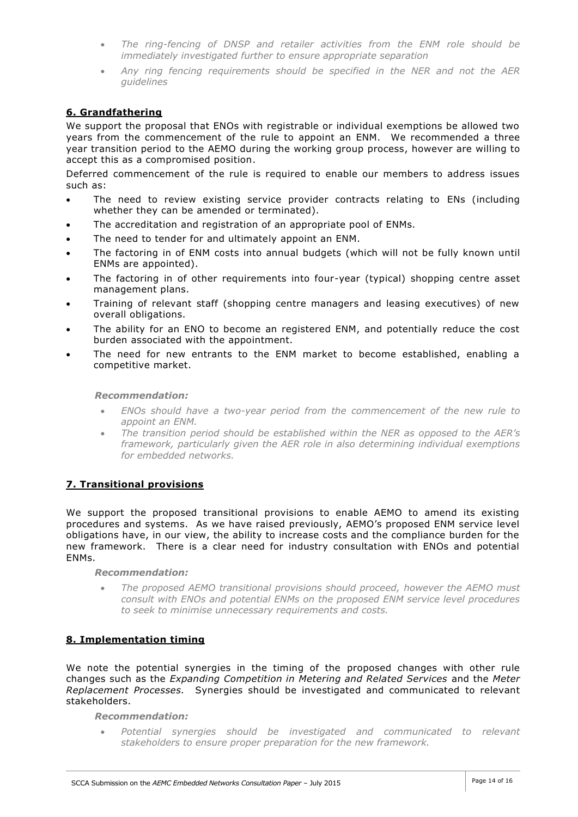- *The ring-fencing of DNSP and retailer activities from the ENM role should be immediately investigated further to ensure appropriate separation*
- *Any ring fencing requirements should be specified in the NER and not the AER guidelines*

## **6. Grandfathering**

We support the proposal that ENOs with registrable or individual exemptions be allowed two years from the commencement of the rule to appoint an ENM. We recommended a three year transition period to the AEMO during the working group process, however are willing to accept this as a compromised position.

Deferred commencement of the rule is required to enable our members to address issues such as:

- The need to review existing service provider contracts relating to ENs (including whether they can be amended or terminated).
- The accreditation and registration of an appropriate pool of ENMs.
- The need to tender for and ultimately appoint an ENM.
- The factoring in of ENM costs into annual budgets (which will not be fully known until ENMs are appointed).
- The factoring in of other requirements into four-year (typical) shopping centre asset management plans.
- Training of relevant staff (shopping centre managers and leasing executives) of new overall obligations.
- The ability for an ENO to become an registered ENM, and potentially reduce the cost burden associated with the appointment.
- The need for new entrants to the ENM market to become established, enabling a competitive market.

#### *Recommendation:*

- *ENOs should have a two-year period from the commencement of the new rule to appoint an ENM.*
- *The transition period should be established within the NER as opposed to the AER's framework, particularly given the AER role in also determining individual exemptions for embedded networks.*

## **7. Transitional provisions**

We support the proposed transitional provisions to enable AEMO to amend its existing procedures and systems. As we have raised previously, AEMO's proposed ENM service level obligations have, in our view, the ability to increase costs and the compliance burden for the new framework. There is a clear need for industry consultation with ENOs and potential ENMs.

*Recommendation:*

 *The proposed AEMO transitional provisions should proceed, however the AEMO must consult with ENOs and potential ENMs on the proposed ENM service level procedures to seek to minimise unnecessary requirements and costs.*

## **8. Implementation timing**

We note the potential synergies in the timing of the proposed changes with other rule changes such as the *Expanding Competition in Metering and Related Services* and the *Meter Replacement Processes.* Synergies should be investigated and communicated to relevant stakeholders.

#### *Recommendation:*

 *Potential synergies should be investigated and communicated to relevant stakeholders to ensure proper preparation for the new framework.*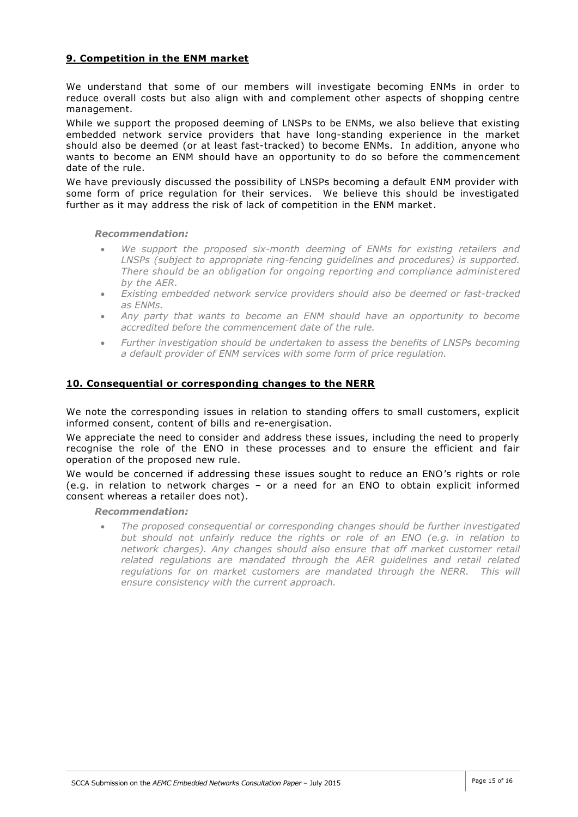## **9. Competition in the ENM market**

We understand that some of our members will investigate becoming ENMs in order to reduce overall costs but also align with and complement other aspects of shopping centre management.

While we support the proposed deeming of LNSPs to be ENMs, we also believe that existing embedded network service providers that have long-standing experience in the market should also be deemed (or at least fast-tracked) to become ENMs. In addition, anyone who wants to become an ENM should have an opportunity to do so before the commencement date of the rule.

We have previously discussed the possibility of LNSPs becoming a default ENM provider with some form of price regulation for their services. We believe this should be investigated further as it may address the risk of lack of competition in the ENM market.

#### *Recommendation:*

- We support the proposed six-month deeming of ENMs for existing retailers and *LNSPs (subject to appropriate ring-fencing guidelines and procedures) is supported. There should be an obligation for ongoing reporting and compliance administered by the AER.*
- *Existing embedded network service providers should also be deemed or fast-tracked as ENMs.*
- *Any party that wants to become an ENM should have an opportunity to become accredited before the commencement date of the rule.*
- *Further investigation should be undertaken to assess the benefits of LNSPs becoming a default provider of ENM services with some form of price regulation.*

## **10. Consequential or corresponding changes to the NERR**

We note the corresponding issues in relation to standing offers to small customers, explicit informed consent, content of bills and re-energisation.

We appreciate the need to consider and address these issues, including the need to properly recognise the role of the ENO in these processes and to ensure the efficient and fair operation of the proposed new rule.

We would be concerned if addressing these issues sought to reduce an ENO's rights or role (e.g. in relation to network charges – or a need for an ENO to obtain explicit informed consent whereas a retailer does not).

*Recommendation:*

 *The proposed consequential or corresponding changes should be further investigated but should not unfairly reduce the rights or role of an ENO (e.g. in relation to network charges). Any changes should also ensure that off market customer retail related regulations are mandated through the AER guidelines and retail related*  regulations for on market customers are mandated through the NERR. This will *ensure consistency with the current approach.*